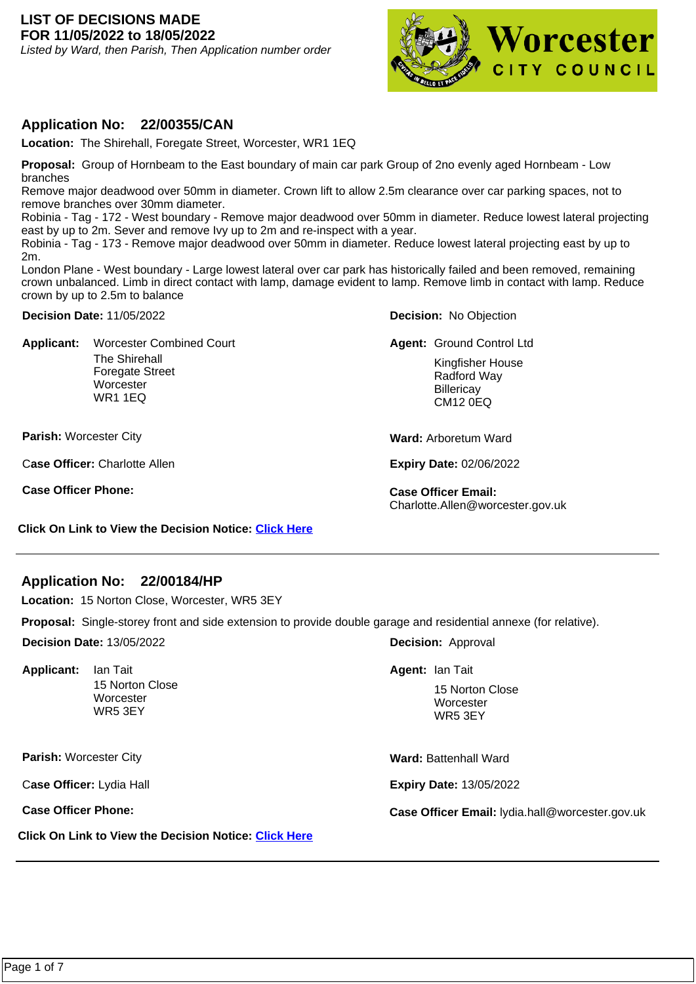#### **LIST OF DECISIONS MADE FOR 11/05/2022 to 18/05/2022**

Listed by Ward, then Parish, Then Application number order



## **Application No: 22/00355/CAN**

**Location:** The Shirehall, Foregate Street, Worcester, WR1 1EQ

**Proposal:** Group of Hornbeam to the East boundary of main car park Group of 2no evenly aged Hornbeam - Low branches

Remove major deadwood over 50mm in diameter. Crown lift to allow 2.5m clearance over car parking spaces, not to remove branches over 30mm diameter.

Robinia - Tag - 172 - West boundary - Remove major deadwood over 50mm in diameter. Reduce lowest lateral projecting east by up to 2m. Sever and remove Ivy up to 2m and re-inspect with a year.

Robinia - Tag - 173 - Remove major deadwood over 50mm in diameter. Reduce lowest lateral projecting east by up to 2m.

London Plane - West boundary - Large lowest lateral over car park has historically failed and been removed, remaining crown unbalanced. Limb in direct contact with lamp, damage evident to lamp. Remove limb in contact with lamp. Reduce crown by up to 2.5m to balance

**Decision Date:** 11/05/2022

**Applicant:**  The Shirehall Foregate Street **Worcester** WR1 1EQ Worcester Combined Court **Group Control Control Control Ltd** 

**Parish:** Worcester City

C**ase Officer:** Charlotte Allen

**Case Officer Phone: Case Officer Email:** 

**Decision:** No Objection

Kingfisher House Radford Way **Billericay** CM12 0EQ

**Ward:** Arboretum Ward

**Expiry Date:** 02/06/2022

Charlotte.Allen@worcester.gov.uk

**Click On Link to View the Decision Notice: [Click Here](https://plan.worcester.gov.uk/Planning/Display/22/00355/CAN)**

## **Application No: 22/00184/HP**

**Location:** 15 Norton Close, Worcester, WR5 3EY

**Proposal:** Single-storey front and side extension to provide double garage and residential annexe (for relative).

**Decision Date:** 13/05/2022

**Applicant:**  15 Norton Close **Worcester** WR5 3EY

**Parish:** Worcester City

C**ase Officer:** Lydia Hall

**Click On Link to View the Decision Notice: [Click Here](https://plan.worcester.gov.uk/Planning/Display/22/00184/HP)**

**Decision:** Approval

**Agent:** Ian Tait Ian Tait

15 Norton Close **Worcester** WR5 3EY

**Ward:** Battenhall Ward

**Expiry Date:** 13/05/2022

**Case Officer Phone: Case Officer Email:** lydia.hall@worcester.gov.uk

Page 1 of 7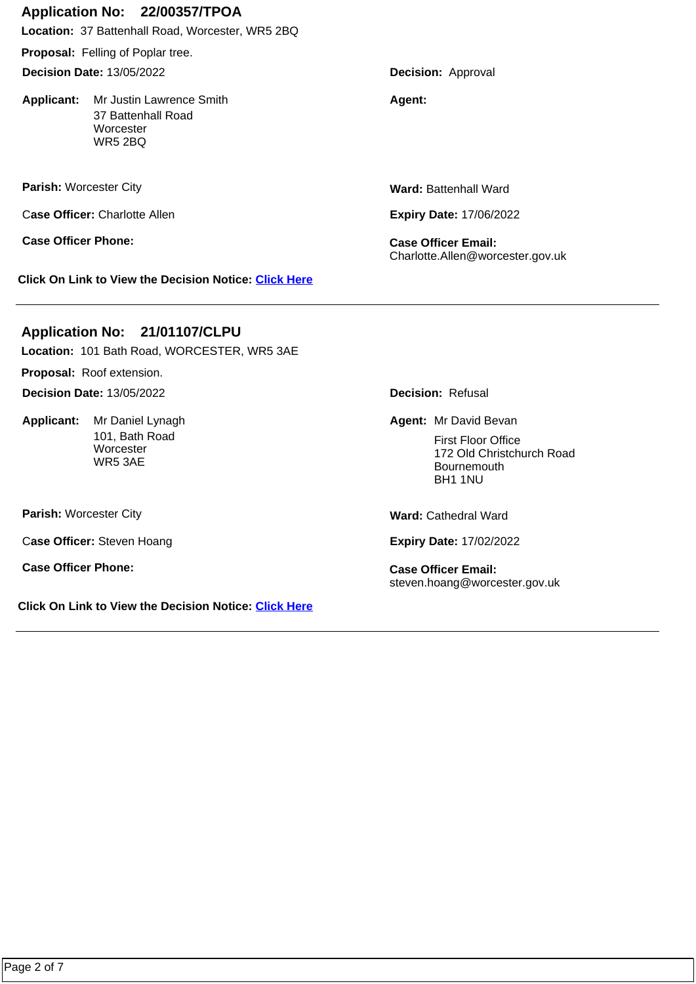# **Application No: 22/00357/TPOA**

**Location:** 37 Battenhall Road, Worcester, WR5 2BQ

**Proposal:** Felling of Poplar tree.

**Decision Date:** 13/05/2022

**Applicant:** Mr Justin Lawrence Smith **Agent: Agent:** 37 Battenhall Road **Worcester** WR5 2BQ

**Parish:** Worcester City

C**ase Officer:** Charlotte Allen

**Case Officer Phone: Case Officer Email:** 

**Click On Link to View the Decision Notice: [Click Here](https://plan.worcester.gov.uk/Planning/Display/22/00357/TPOA)**

**Application No: 21/01107/CLPU**

**Location:** 101 Bath Road, WORCESTER, WR5 3AE

**Proposal:** Roof extension.

**Decision Date:** 13/05/2022

Applicant: Mr Daniel Lynagh 101, Bath Road **Worcester** WR5 3AE

**Parish:** Worcester City

C**ase Officer:** Steven Hoang

**Case Officer Phone: Case Officer Email:** 

**Click On Link to View the Decision Notice: [Click Here](https://plan.worcester.gov.uk/Planning/Display/21/01107/CLPU)**

**Decision:** Approval

**Ward:** Battenhall Ward

**Expiry Date:** 17/06/2022

Charlotte.Allen@worcester.gov.uk

**Decision:** Refusal

Mr Daniel Lynagh **Mr David Bevan Mr David Bevan** 

First Floor Office 172 Old Christchurch Road **Bournemouth** BH1 1NU

**Ward:** Cathedral Ward

**Expiry Date:** 17/02/2022

steven.hoang@worcester.gov.uk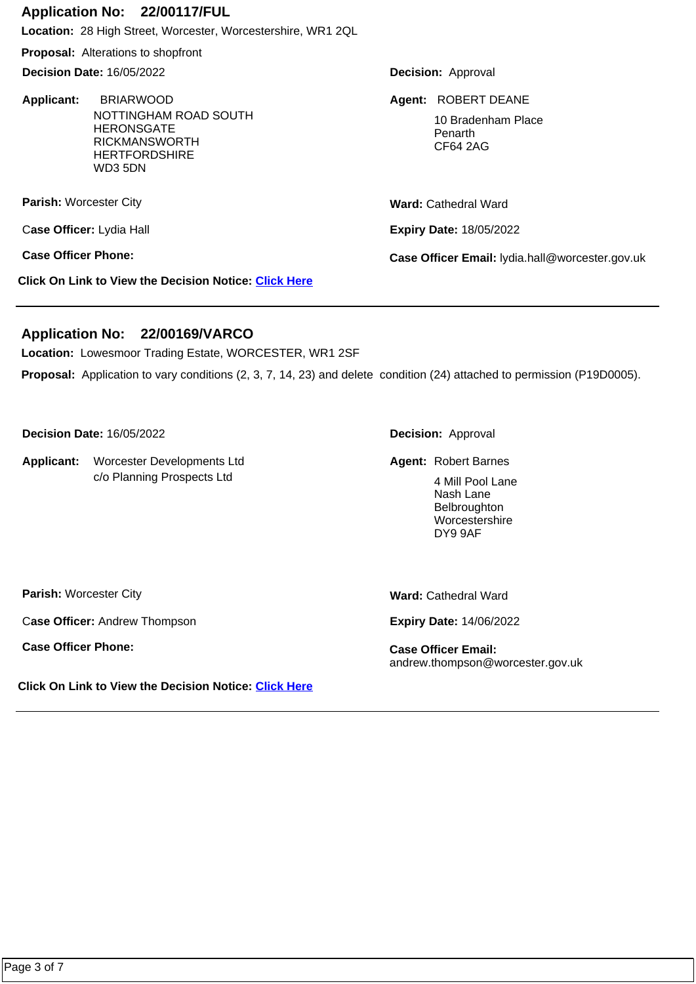#### **Application No: 22/00117/FUL**

**Location:** 28 High Street, Worcester, Worcestershire, WR1 2QL

**Proposal:** Alterations to shopfront

**Decision Date:** 16/05/2022

**Applicant:**  NOTTINGHAM ROAD SOUTH **HERONSGATE** RICKMANSWORTH **HERTFORDSHIRE** WD3 5DN **BRIARWOOD ROBERT DEANE Agent: ROBERT DEANE** 

**Parish:** Worcester City

C**ase Officer:** Lydia Hall

**Click On Link to View the Decision Notice: [Click Here](https://plan.worcester.gov.uk/Planning/Display/22/00117/FUL)**

**Decision:** Approval

10 Bradenham Place Penarth CF64 2AG

**Ward:** Cathedral Ward

**Expiry Date:** 18/05/2022

**Case Officer Phone: Case Officer Email:** lydia.hall@worcester.gov.uk

## **Application No: 22/00169/VARCO**

**Location:** Lowesmoor Trading Estate, WORCESTER, WR1 2SF

**Proposal:** Application to vary conditions (2, 3, 7, 14, 23) and delete condition (24) attached to permission (P19D0005).

**Decision Date:** 16/05/2022

Applicant: Worcester Developments Ltd **Anglicant: Robert Barnes** Robert Barnes c/o Planning Prospects Ltd

**Decision:** Approval

**Agent: Robert Barnes** 

4 Mill Pool Lane Nash Lane Belbroughton Worcestershire DY9 9AF

**Parish:** Worcester City

C**ase Officer:** Andrew Thompson

**Case Officer Phone: Case Officer Email:** 

**Ward:** Cathedral Ward

**Expiry Date:** 14/06/2022

andrew.thompson@worcester.gov.uk

**Click On Link to View the Decision Notice: [Click Here](https://plan.worcester.gov.uk/Planning/Display/22/00169/VARCO)**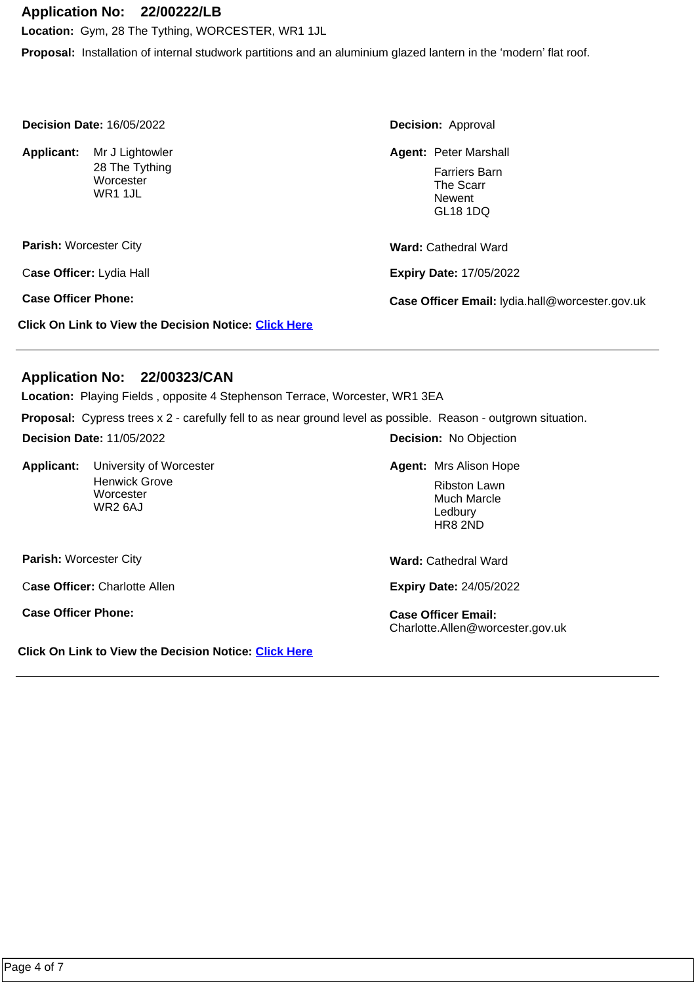## **Application No: 22/00222/LB**

**Location:** Gym, 28 The Tything, WORCESTER, WR1 1JL

**Proposal:** Installation of internal studwork partitions and an aluminium glazed lantern in the 'modern' flat roof.

| <b>Decision Date: 16/05/2022</b> |                                                              | <b>Decision: Approval</b>                                                                      |
|----------------------------------|--------------------------------------------------------------|------------------------------------------------------------------------------------------------|
| Applicant:                       | Mr J Lightowler<br>28 The Tything<br>Worcester<br>WR1 1JL    | <b>Agent: Peter Marshall</b><br><b>Farriers Barn</b><br>The Scarr<br>Newent<br><b>GL18 1DQ</b> |
| <b>Parish: Worcester City</b>    |                                                              | <b>Ward: Cathedral Ward</b>                                                                    |
| Case Officer: Lydia Hall         |                                                              | <b>Expiry Date: 17/05/2022</b>                                                                 |
| <b>Case Officer Phone:</b>       |                                                              | Case Officer Email: lydia.hall@worcester.gov.uk                                                |
|                                  | <b>Click On Link to View the Decision Notice: Click Here</b> |                                                                                                |

#### **Application No: 22/00323/CAN**

**Location:** Playing Fields , opposite 4 Stephenson Terrace, Worcester, WR1 3EA

**Proposal:** Cypress trees x 2 - carefully fell to as near ground level as possible. Reason - outgrown situation.

**Decision Date:** 11/05/2022

Applicant: University of Worcester Henwick Grove **Worcester** WR2 6AJ

**Decision:** No Objection

University of Worcester **Agent:** Mrs Alison Hope **Agent:** Mrs Alison Hope

Ribston Lawn Much Marcle Ledbury HR8 2ND

**Parish:** Worcester City

C**ase Officer:** Charlotte Allen

**Case Officer Phone: Case Officer Email:** 

**Click On Link to View the Decision Notice: [Click Here](https://plan.worcester.gov.uk/Planning/Display/22/00323/CAN)**

**Ward:** Cathedral Ward

**Expiry Date:** 24/05/2022

Charlotte.Allen@worcester.gov.uk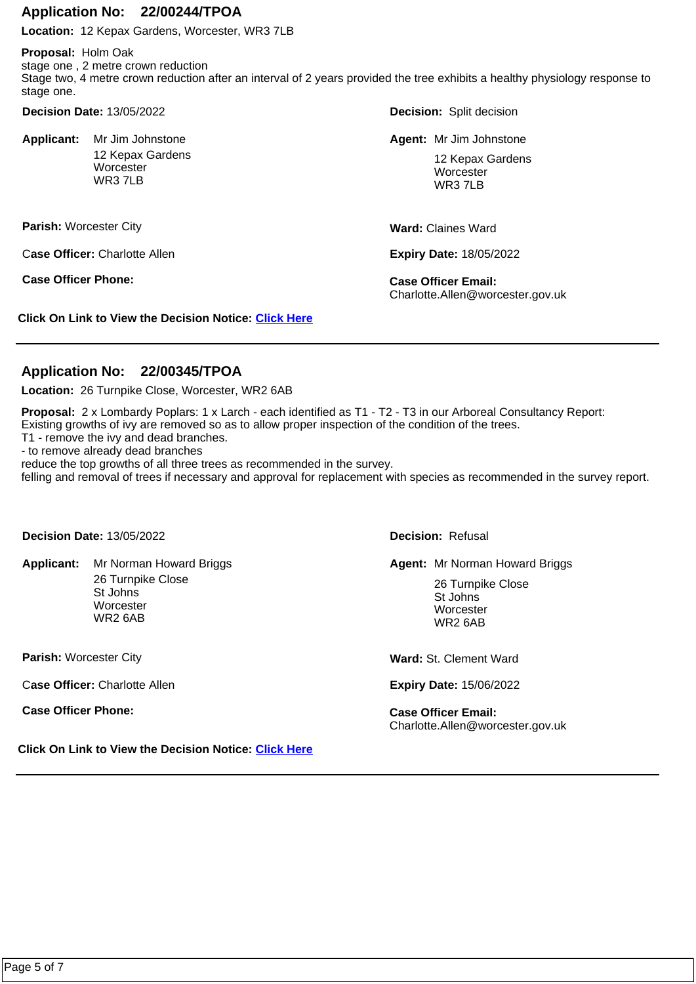#### **Application No: 22/00244/TPOA**

**Location:** 12 Kepax Gardens, Worcester, WR3 7LB

**Proposal:** Holm Oak stage one , 2 metre crown reduction Stage two, 4 metre crown reduction after an interval of 2 years provided the tree exhibits a healthy physiology response to stage one.

**Decision Date:** 13/05/2022

Applicant: Mr Jim Johnstone 12 Kepax Gardens **Worcester** WR3 7LB

**Parish:** Worcester City

C**ase Officer:** Charlotte Allen

**Case Officer Phone: Case Officer Email:** 

**Click On Link to View the Decision Notice: [Click Here](https://plan.worcester.gov.uk/Planning/Display/22/00244/TPOA)**

**Decision:** Split decision

**Mr Jim Johnstone Mr Jim Johnstone Mr Jim Johnstone Mr Jim Johnstone Mr Jim Johnstone** 

12 Kepax Gardens **Worcester WR3 7LB** 

**Ward:** Claines Ward

**Expiry Date:** 18/05/2022

Charlotte.Allen@worcester.gov.uk

## **Application No: 22/00345/TPOA**

**Location:** 26 Turnpike Close, Worcester, WR2 6AB

**Proposal:** 2 x Lombardy Poplars: 1 x Larch - each identified as T1 - T2 - T3 in our Arboreal Consultancy Report: Existing growths of ivy are removed so as to allow proper inspection of the condition of the trees.

T1 - remove the ivy and dead branches.

- to remove already dead branches

reduce the top growths of all three trees as recommended in the survey.

felling and removal of trees if necessary and approval for replacement with species as recommended in the survey report.

**Decision Date:** 13/05/2022

Applicant: Mr Norman Howard Briggs 26 Turnpike Close St Johns

> **Worcester** WR2 6AB

**Parish:** Worcester City

C**ase Officer:** Charlotte Allen

**Case Officer Phone: Case Officer Email:** 

**Click On Link to View the Decision Notice: [Click Here](https://plan.worcester.gov.uk/Planning/Display/22/00345/TPOA)**

**Decision:** Refusal

Mr Norman Howard Briggs **Mr Norman Howard Briggs** Mr Norman Howard Briggs

26 Turnpike Close St Johns **Worcester** WR2 6AB

**Ward:** St. Clement Ward

**Expiry Date:** 15/06/2022

Charlotte.Allen@worcester.gov.uk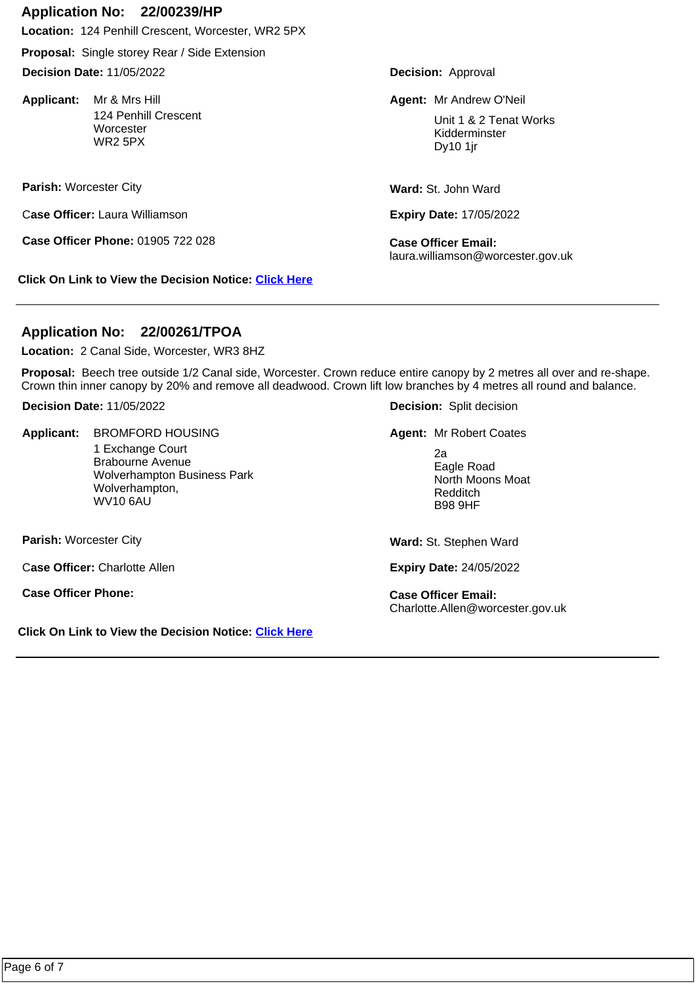#### **Application No: 22/00239/HP**

**Location:** 124 Penhill Crescent, Worcester, WR2 5PX

**Proposal:** Single storey Rear / Side Extension

**Decision Date:** 11/05/2022

Applicant: Mr & Mrs Hill 124 Penhill Crescent **Worcester** WR2 5PX

**Parish:** Worcester City

C**ase Officer:** Laura Williamson

**Case Officer Phone:** 01905 722 028 **Case Officer Email:** 

**Click On Link to View the Decision Notice: [Click Here](https://plan.worcester.gov.uk/Planning/Display/22/00239/HP)**

**Decision:** Approval

**Agent:** Mr & Mrs Hill Mr Andrew O'Neil

Unit 1 & 2 Tenat Works Kidderminster Dy10 1jr

**Ward:** St. John Ward

**Expiry Date:** 17/05/2022

laura.williamson@worcester.gov.uk

## **Application No: 22/00261/TPOA**

**Location:** 2 Canal Side, Worcester, WR3 8HZ

**Proposal:** Beech tree outside 1/2 Canal side, Worcester. Crown reduce entire canopy by 2 metres all over and re-shape. Crown thin inner canopy by 20% and remove all deadwood. Crown lift low branches by 4 metres all round and balance.

**Decision Date:** 11/05/2022

Applicant: **BROMFORD HOUSING** 

1 Exchange Court Brabourne Avenue Wolverhampton Business Park Wolverhampton, WV10 6AU

**Parish:** Worcester City

C**ase Officer:** Charlotte Allen

**Case Officer Phone: Case Officer Email:** 

**Click On Link to View the Decision Notice: [Click Here](https://plan.worcester.gov.uk/Planning/Display/22/00261/TPOA)**

**Decision:** Split decision

**BROMFORD HOUSING MR Agent:** Mr Robert Coates

2a Eagle Road North Moons Moat Redditch B98 9HF

**Ward:** St. Stephen Ward

**Expiry Date:** 24/05/2022

Charlotte.Allen@worcester.gov.uk